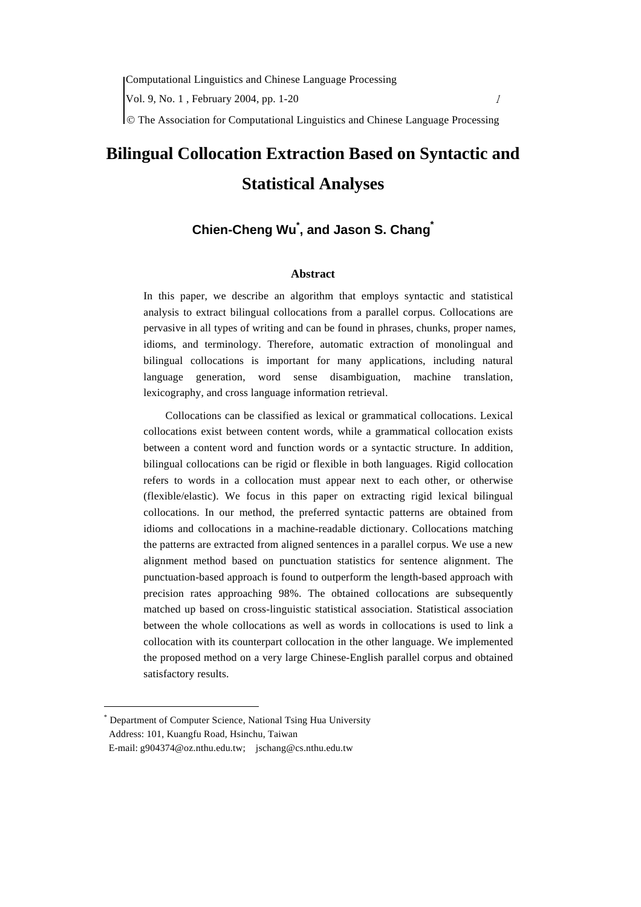Computational Linguistics and Chinese Language Processing

Vol. 9, No. 1, February 2004, pp. 1-20 1

© The Association for Computational Linguistics and Chinese Language Processing

# **Bilingual Collocation Extraction Based on Syntactic and Statistical Analyses**

## **Chien-Cheng Wu\* , and Jason S. Chang\***

## **Abstract**

In this paper, we describe an algorithm that employs syntactic and statistical analysis to extract bilingual collocations from a parallel corpus. Collocations are pervasive in all types of writing and can be found in phrases, chunks, proper names, idioms, and terminology. Therefore, automatic extraction of monolingual and bilingual collocations is important for many applications, including natural language generation, word sense disambiguation, machine translation, lexicography, and cross language information retrieval.

Collocations can be classified as lexical or grammatical collocations. Lexical collocations exist between content words, while a grammatical collocation exists between a content word and function words or a syntactic structure. In addition, bilingual collocations can be rigid or flexible in both languages. Rigid collocation refers to words in a collocation must appear next to each other, or otherwise (flexible/elastic). We focus in this paper on extracting rigid lexical bilingual collocations. In our method, the preferred syntactic patterns are obtained from idioms and collocations in a machine-readable dictionary. Collocations matching the patterns are extracted from aligned sentences in a parallel corpus. We use a new alignment method based on punctuation statistics for sentence alignment. The punctuation-based approach is found to outperform the length-based approach with precision rates approaching 98%. The obtained collocations are subsequently matched up based on cross-linguistic statistical association. Statistical association between the whole collocations as well as words in collocations is used to link a collocation with its counterpart collocation in the other language. We implemented the proposed method on a very large Chinese-English parallel corpus and obtained satisfactory results.

<span id="page-0-0"></span>Department of Computer Science, National Tsing Hua University Address: 101, Kuangfu Road, Hsinchu, Taiwan E-mail: g904374@oz.nthu.edu.tw; jschang@cs.nthu.edu.tw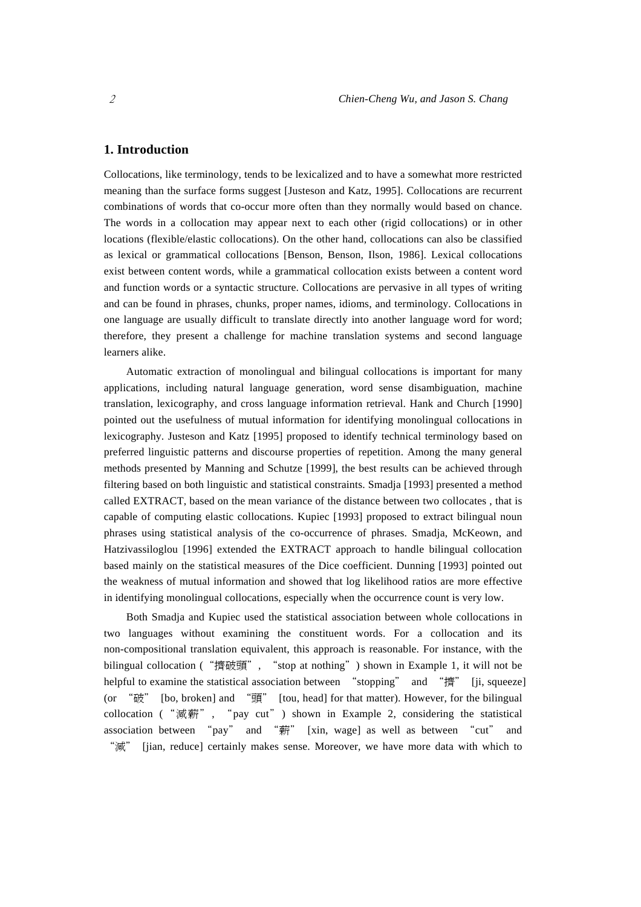## **1. Introduction**

Collocations, like terminology, tends to be lexicalized and to have a somewhat more restricted meaning than the surface forms suggest [Justeson and Katz, 1995]. Collocations are recurrent combinations of words that co-occur more often than they normally would based on chance. The words in a collocation may appear next to each other (rigid collocations) or in other locations (flexible/elastic collocations). On the other hand, collocations can also be classified as lexical or grammatical collocations [Benson, Benson, Ilson, 1986]. Lexical collocations exist between content words, while a grammatical collocation exists between a content word and function words or a syntactic structure. Collocations are pervasive in all types of writing and can be found in phrases, chunks, proper names, idioms, and terminology. Collocations in one language are usually difficult to translate directly into another language word for word; therefore, they present a challenge for machine translation systems and second language learners alike.

Automatic extraction of monolingual and bilingual collocations is important for many applications, including natural language generation, word sense disambiguation, machine translation, lexicography, and cross language information retrieval. Hank and Church [1990] pointed out the usefulness of mutual information for identifying monolingual collocations in lexicography. Justeson and Katz [1995] proposed to identify technical terminology based on preferred linguistic patterns and discourse properties of repetition. Among the many general methods presented by Manning and Schutze [1999], the best results can be achieved through filtering based on both linguistic and statistical constraints. Smadja [1993] presented a method called EXTRACT, based on the mean variance of the distance between two collocates , that is capable of computing elastic collocations. Kupiec [1993] proposed to extract bilingual noun phrases using statistical analysis of the co-occurrence of phrases. Smadja, McKeown, and Hatzivassiloglou [1996] extended the EXTRACT approach to handle bilingual collocation based mainly on the statistical measures of the Dice coefficient. Dunning [1993] pointed out the weakness of mutual information and showed that log likelihood ratios are more effective in identifying monolingual collocations, especially when the occurrence count is very low.

Both Smadja and Kupiec used the statistical association between whole collocations in two languages without examining the constituent words. For a collocation and its non-compositional translation equivalent, this approach is reasonable. For instance, with the bilingual collocation ("擠破頭", "stop at nothing") shown in Example 1, it will not be helpful to examine the statistical association between "stopping" and "擠" [ji, squeeze] (or "破" [bo, broken] and "頭" [tou, head] for that matter). However, for the bilingual collocation ("減薪", "pay cut") shown in Example 2, considering the statistical association between "pay" and "薪" [xin, wage] as well as between "cut" and "減" [jian, reduce] certainly makes sense. Moreover, we have more data with which to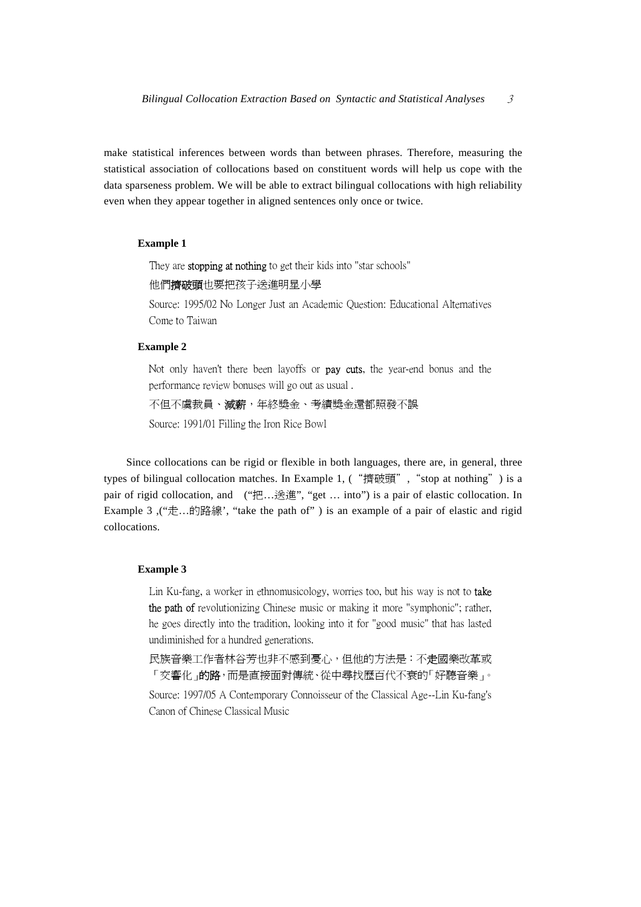make statistical inferences between words than between phrases. Therefore, measuring the statistical association of collocations based on constituent words will help us cope with the data sparseness problem. We will be able to extract bilingual collocations with high reliability even when they appear together in aligned sentences only once or twice.

## **Example 1**

They are **stopping at nothing** to get their kids into "star schools"

他們擠破頭也要把孩子送進明星小學

Source: 1995/02 No Longer Just an Academic Question: Educational Alternatives Come to Taiwan

## **Example 2**

Not only haven't there been layoffs or **pay cuts**, the year-end bonus and the performance review bonuses will go out as usual .

不但不虞裁員、減薪,年終獎金、考績獎金還都照發不誤

Source: 1991/01 Filling the Iron Rice Bowl

Since collocations can be rigid or flexible in both languages, there are, in general, three types of bilingual collocation matches. In Example 1, ("擠破頭", "stop at nothing") is a pair of rigid collocation, and ("把…送進", "get ... into") is a pair of elastic collocation. In Example 3,  $\left(\frac{a+1}{b}, a\right)$   $\left(\frac{a+1}{b}, a\right)$   $\left(\frac{a+1}{b}, a\right)$   $\left(\frac{a+1}{b}, a\right)$   $\left(\frac{a+1}{b}, a\right)$   $\left(\frac{a+1}{b}, a\right)$   $\left(\frac{a+1}{b}, a\right)$   $\left(\frac{a+1}{b}, a\right)$   $\left(\frac{a+1}{b}, a\right)$   $\left(\frac{a+1}{b}, a\right)$   $\left(\frac{a+1}{b}, a\right)$   $\left(\frac{a+1}{b$ collocations.

## **Example 3**

Lin Ku-fang, a worker in ethnomusicology, worries too, but his way is not to take the path of revolutionizing Chinese music or making it more "symphonic"; rather, he goes directly into the tradition, looking into it for "good music" that has lasted undiminished for a hundred generations.

民族音樂工作者林谷芳也非不感到憂心,但他的方法是:不走國樂改革或 「交響化」的路,而是直接面對傳統、從中尋找歷百代不衰的「好聽音樂」。

Source: 1997/05 A Contemporary Connoisseur of the Classical Age--Lin Ku-fang's Canon of Chinese Classical Music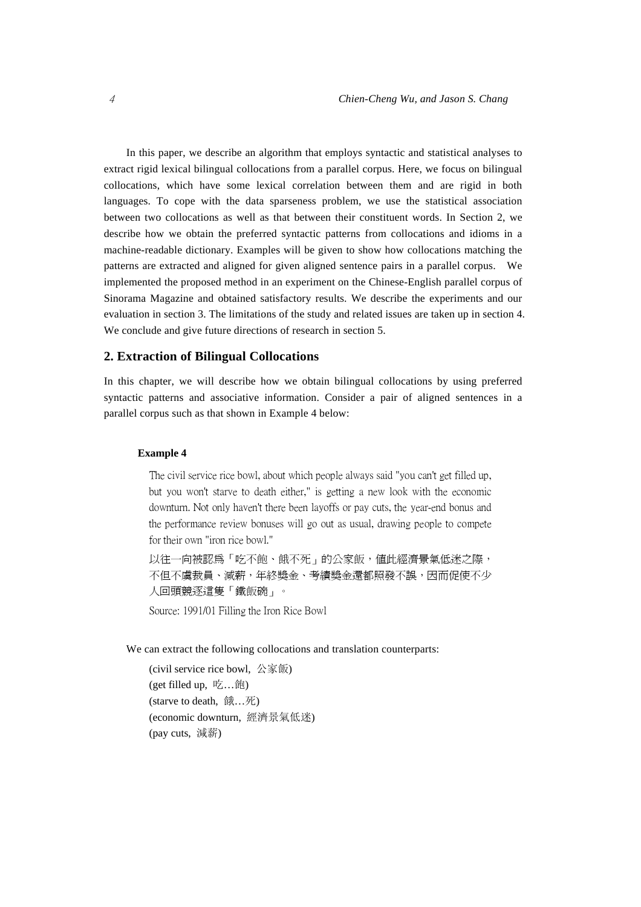In this paper, we describe an algorithm that employs syntactic and statistical analyses to extract rigid lexical bilingual collocations from a parallel corpus. Here, we focus on bilingual collocations, which have some lexical correlation between them and are rigid in both languages. To cope with the data sparseness problem, we use the statistical association between two collocations as well as that between their constituent words. In Section 2, we describe how we obtain the preferred syntactic patterns from collocations and idioms in a machine-readable dictionary. Examples will be given to show how collocations matching the patterns are extracted and aligned for given aligned sentence pairs in a parallel corpus. We implemented the proposed method in an experiment on the Chinese-English parallel corpus of Sinorama Magazine and obtained satisfactory results. We describe the experiments and our evaluation in section 3. The limitations of the study and related issues are taken up in section 4. We conclude and give future directions of research in section 5.

## **2. Extraction of Bilingual Collocations**

In this chapter, we will describe how we obtain bilingual collocations by using preferred syntactic patterns and associative information. Consider a pair of aligned sentences in a parallel corpus such as that shown in Example 4 below:

## **Example 4**

The civil service rice bowl, about which people always said "you can't get filled up, but you won't starve to death either," is getting a new look with the economic downturn. Not only haven't there been layoffs or pay cuts, the year-end bonus and the performance review bonuses will go out as usual, drawing people to compete for their own "iron rice bowl."

以往一向被認為「吃不飽、餓不死」的公家飯,值此經濟景氣低迷之際, 不但不虞裁員、減薪,年終獎金、考績獎金還都照發不誤,因而促使不少 人回頭競逐這隻「鐵飯碗」。

Source: 1991/01 Filling the Iron Rice Bowl

#### We can extract the following collocations and translation counterparts:

(civil service rice bowl, 公家飯) (get filled up, 吃…飽) (starve to death, 餓…死) (economic downturn, 經濟景氣低迷) (pay cuts, 減薪)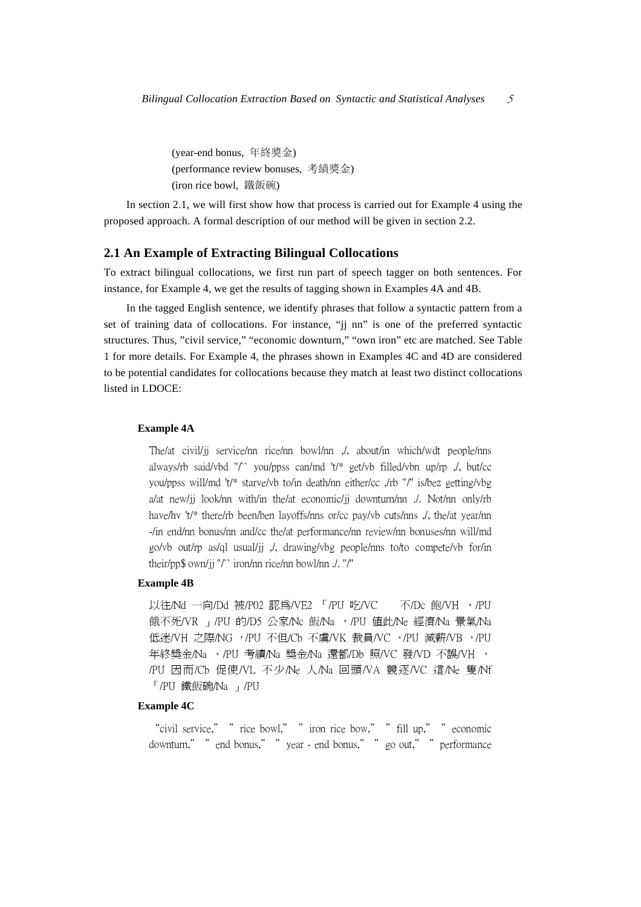(year-end bonus, 年終獎金) (performance review bonuses, 考績獎金) (iron rice bowl, 鐵飯碗)

In section 2.1, we will first show how that process is carried out for Example 4 using the proposed approach. A formal description of our method will be given in section 2.2.

## **2.1 An Example of Extracting Bilingual Collocations**

To extract bilingual collocations, we first run part of speech tagger on both sentences. For instance, for Example 4, we get the results of tagging shown in Examples 4A and 4B.

In the tagged English sentence, we identify phrases that follow a syntactic pattern from a set of training data of collocations. For instance, "jj nn" is one of the preferred syntactic structures. Thus, "civil service," "economic downturn," "own iron" etc are matched. See Table 1 for more details. For Example 4, the phrases shown in Examples 4C and 4D are considered to be potential candidates for collocations because they match at least two distinct collocations listed in LDOCE:

## **Example 4A**

The/at civil/jj service/nn rice/nn bowl/nn ,/, about/in which/wdt people/nns always/rb said/vbd " $\uparrow$ " you/ppss can/md 't/\* get/vb filled/vbn up/rp  $\downarrow$ , but/cc you/ppss will/md 't/\* starve/vb to/in death/nn either/cc ,/rb "/'' is/bez getting/vbg a/at new/jj look/nn with/in the/at economic/jj downturn/nn ./. Not/nn only/rb have/hv 't/\* there/rb been/ben layoffs/nns or/cc pay/vb cuts/nns ,/, the/at year/nn -/in end/nn bonus/nn and/cc the/at performance/nn review/nn bonuses/nn will/md go/vb out/rp as/ql usual/jj ,/, drawing/vbg people/nns to/to compete/vb for/in their/pp\$ own/jj "/`` iron/nn rice/nn bowl/nn ./. "/''

## **Example 4B**

以往/Nd 一向/Dd 被/P02 認為/VE2 「/PU 吃/VC 不/Dc 飽/VH 、/PU 餓不死/VR 」/PU 的/D5 公家/Nc 飯/Na , /PU 値此/Ne 經濟/Na 景氣/Na 低迷/VH 之際/NG ,/PU 不但/Cb 不虞/VK 裁員/VC 、/PU 減薪/VB ,/PU 年終獎金/Na 、/PU 考績/Na 獎金/Na 還都/Db 照/VC 發/VD 不誤/VH , /PU 因而/Cb 促使/VL 不少/Ne 人/Na 回頭/VA 競逐/VC 這/Ne 隻/Nf 「/PU 鐵飯碗/Na 」/PU

## **Example 4C**

"civil service," "rice bowl," " iron rice bow," " fill up," " economic downturn," "end bonus," "year - end bonus," "go out," "performance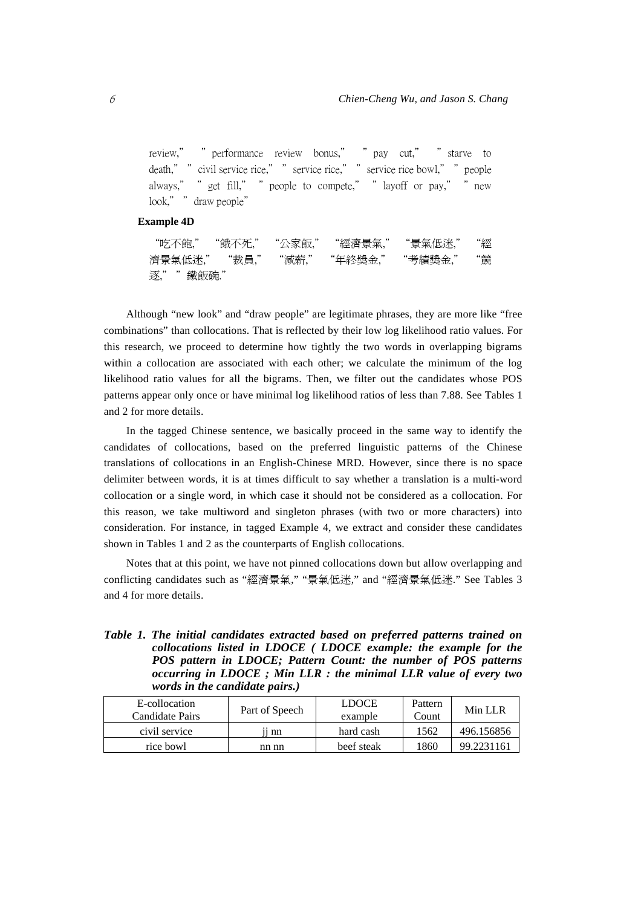review," "performance review bonus," "pay cut," "starve to death," " civil service rice," " service rice," " service rice bowl," " people always," "get fill," " people to compete," " layoff or pay," " new look," " draw people"

## **Example 4D**

"吃不飽," "餓不死," "公家飯," "經濟景氣," "景氣低迷," "經 濟景氣低迷," "裁員," "減薪," "年終獎金," "考績獎金," "競 逐," "鐵飯碗."

Although "new look" and "draw people" are legitimate phrases, they are more like "free combinations" than collocations. That is reflected by their low log likelihood ratio values. For this research, we proceed to determine how tightly the two words in overlapping bigrams within a collocation are associated with each other; we calculate the minimum of the log likelihood ratio values for all the bigrams. Then, we filter out the candidates whose POS patterns appear only once or have minimal log likelihood ratios of less than 7.88. See Tables 1 and 2 for more details.

In the tagged Chinese sentence, we basically proceed in the same way to identify the candidates of collocations, based on the preferred linguistic patterns of the Chinese translations of collocations in an English-Chinese MRD. However, since there is no space delimiter between words, it is at times difficult to say whether a translation is a multi-word collocation or a single word, in which case it should not be considered as a collocation. For this reason, we take multiword and singleton phrases (with two or more characters) into consideration. For instance, in tagged Example 4, we extract and consider these candidates shown in Tables 1 and 2 as the counterparts of English collocations.

Notes that at this point, we have not pinned collocations down but allow overlapping and conflicting candidates such as "經濟景氣," "景氣低迷," and "經濟景氣低迷." See Tables 3 and 4 for more details.

|  | Table 1. The initial candidates extracted based on preferred patterns trained on |
|--|----------------------------------------------------------------------------------|
|  | collocations listed in LDOCE (LDOCE example: the example for the                 |
|  | POS pattern in LDOCE; Pattern Count: the number of POS patterns                  |
|  | occurring in $LDOCE$ ; Min $LLR$ : the minimal $LLR$ value of every two          |
|  | words in the candidate pairs.)                                                   |

| E-collocation<br>Candidate Pairs | Part of Speech | <b>LDOCE</b><br>example | Pattern<br>Count | Min LLR    |
|----------------------------------|----------------|-------------------------|------------------|------------|
| civil service                    | 11 nn          | hard cash               | 1562             | 496.156856 |
| rice bowl                        | nn nn          | beef steak              | 1860             | 99.2231161 |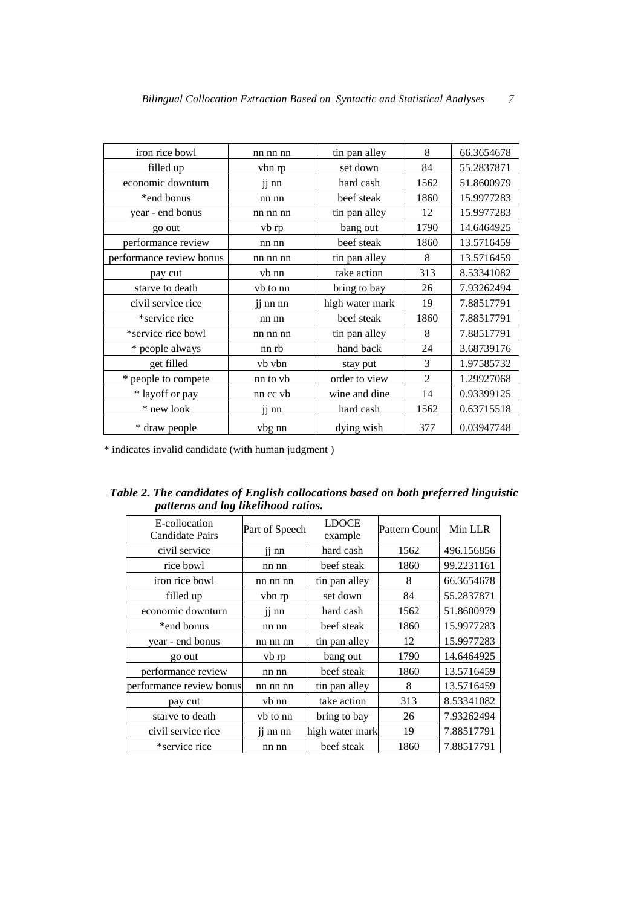| iron rice bowl           | nn nn nn | tin pan alley   | 8    | 66.3654678 |
|--------------------------|----------|-----------------|------|------------|
| filled up                | vbn rp   | set down        | 84   | 55.2837871 |
| economic downturn        | ij nn    | hard cash       | 1562 | 51.8600979 |
| *end bonus               | nn nn    | beef steak      | 1860 | 15.9977283 |
| year - end bonus         | nn nn nn | tin pan alley   | 12   | 15.9977283 |
| go out                   | vb rp    | bang out        | 1790 | 14.6464925 |
| performance review       | nn nn    | beef steak      | 1860 | 13.5716459 |
| performance review bonus | nn nn nn | tin pan alley   | 8    | 13.5716459 |
| pay cut                  | vb nn    | take action     | 313  | 8.53341082 |
| starve to death          | vb to nn | bring to bay    | 26   | 7.93262494 |
| civil service rice       | ji nn nn | high water mark | 19   | 7.88517791 |
| *service rice            | nn nn    | beef steak      | 1860 | 7.88517791 |
| *service rice bowl       | nn nn nn | tin pan alley   | 8    | 7.88517791 |
| * people always          | nn rb    | hand back       | 24   | 3.68739176 |
| get filled               | vb vbn   | stay put        | 3    | 1.97585732 |
| * people to compete      | nn to vb | order to view   | 2    | 1.29927068 |
| * layoff or pay          | nn cc vb | wine and dine   | 14   | 0.93399125 |
| * new look               | ii nn    | hard cash       | 1562 | 0.63715518 |
| * draw people            | vbg nn   | dying wish      | 377  | 0.03947748 |

\* indicates invalid candidate (with human judgment )

| Table 2. The candidates of English collocations based on both preferred linguistic |
|------------------------------------------------------------------------------------|
| patterns and log likelihood ratios.                                                |

| E-collocation<br><b>Candidate Pairs</b> | Part of Speech        | <b>LDOCE</b><br>example | Pattern Count | Min LLR    |
|-----------------------------------------|-----------------------|-------------------------|---------------|------------|
| civil service                           | $i$ <sub>11</sub> nn  | hard cash               | 1562          | 496.156856 |
| rice bowl                               | nn nn                 | beef steak              | 1860          | 99.2231161 |
| iron rice bowl                          | nn nn nn              | tin pan alley           | 8             | 66.3654678 |
| filled up                               | vbn rp                | set down                | 84            | 55.2837871 |
| economic downturn                       | $i$ <sub>11</sub> nn  | hard cash               | 1562          | 51.8600979 |
| *end bonus                              | nn nn                 | beef steak              | 1860          | 15.9977283 |
| year - end bonus                        | nn nn nn              | tin pan alley           | 12            | 15.9977283 |
| go out                                  | vb rp                 | bang out                | 1790          | 14.6464925 |
| performance review                      | nn nn                 | beef steak              | 1860          | 13.5716459 |
| performance review bonus                | nn nn nn              | tin pan alley           | 8             | 13.5716459 |
| pay cut                                 | vb nn                 | take action             | 313           | 8.53341082 |
| starve to death                         | vb to nn              | bring to bay            | 26            | 7.93262494 |
| civil service rice                      | $\overline{11}$ nn nn | high water mark         | 19            | 7.88517791 |
| *service rice                           | nn nn                 | beef steak              | 1860          | 7.88517791 |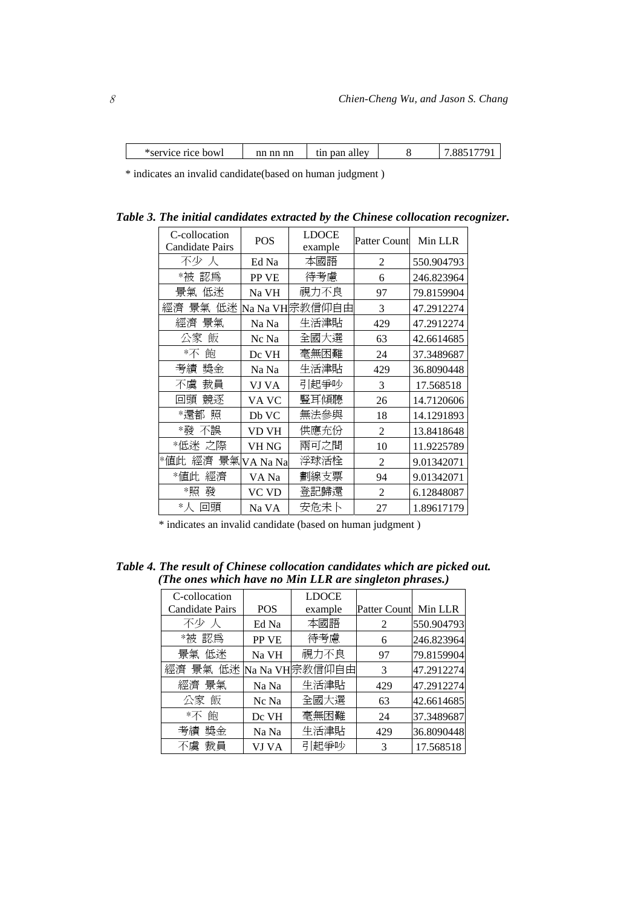| *service rice bowl | nn nn nn | tin pan allev | 770 |
|--------------------|----------|---------------|-----|
|                    |          |               |     |

\* indicates an invalid candidate(based on human judgment )

*Table 3. The initial candidates extracted by the Chinese collocation recognizer.* 

| C-collocation             | <b>POS</b>  | LDOCE          | <b>Patter Count</b> | Min LLR    |  |
|---------------------------|-------------|----------------|---------------------|------------|--|
| Candidate Pairs           |             | example        |                     |            |  |
| 不少 人                      | Ed Na       | 本國語            | $\overline{2}$      | 550.904793 |  |
| *被 認爲                     | PP VE       | 待考慮            | 6                   | 246.823964 |  |
| 低迷<br>景氣                  | Na VH       | 視力不良           | 97                  | 79.8159904 |  |
| 低迷<br>經濟<br>景氣            |             | Na Na VH宗教信仰自由 | 3                   | 47.2912274 |  |
| 景氣<br>經濟                  | Na Na       | 生活津貼           | 429                 | 47.2912274 |  |
| 飯<br>公冢                   | Nc Na       | 全國大選           | 63                  | 42.6614685 |  |
| 飽<br>$*\overline{\wedge}$ | Dc VH       | 毫無困難           | 24                  | 37.3489687 |  |
| 奬金<br>考績                  | Na Na       | 生活津貼           | 429                 | 36.8090448 |  |
| 裁員<br>不虞                  | VJ VA       | 引起爭吵           | 3                   | 17.568518  |  |
| 競逐<br>回頭                  | VA VC       | 豎耳傾聽           | 26                  | 14.7120606 |  |
| *還都<br>照                  | Db VC       | 無法參與           | 18                  | 14.1291893 |  |
| *發<br>不誤                  | VD VH       | 供應充份           | 2                   | 13.8418648 |  |
| *低迷<br>之際                 | VH NG       | 兩可之間           | 10                  | 11.9225789 |  |
| *値此<br>經濟                 | 景氣 VA Na Na | 浮球活栓           | $\overline{2}$      | 9.01342071 |  |
| *値此<br>經濟                 | VA Na       | 劃線支票           | 94                  | 9.01342071 |  |
| *照<br>發                   | VC VD       | 登記歸還           | $\overline{2}$      | 6.12848087 |  |
| $*_{\mathcal{N}}$<br>回頭   | Na VA       | 安危未卜           | 27                  | 1.89617179 |  |

\* indicates an invalid candidate (based on human judgment )

| Table 4. The result of Chinese collocation candidates which are picked out. |  |
|-----------------------------------------------------------------------------|--|
| (The ones which have no Min LLR are singleton phrases.)                     |  |

| C-collocation             |            | <b>LDOCE</b>   |                     |            |
|---------------------------|------------|----------------|---------------------|------------|
| Candidate Pairs           | <b>POS</b> | example        | <b>Patter Count</b> | Min LLR    |
| 不少人                       | Ed Na      | 本國語            | 2                   | 550.904793 |
| *被 認爲                     | PP VE      | 待考慮            | 6                   | 246.823964 |
| 景氣 低迷                     | Na VH      | 視力不良           | 97                  | 79.8159904 |
| 經濟 景氣 低迷                  |            | Na Na VH宗教信仰自由 | 3                   | 47.2912274 |
| 經濟 景氣                     | Na Na      | 生活津貼           | 429                 | 47.2912274 |
| 公家 飯                      | Nc Na      | 全國大選           | 63                  | 42.6614685 |
| 飽<br>$*\overline{\wedge}$ | Dc VH      | 毫無困難           | 24                  | 37.3489687 |
| 考績 獎金                     | Na Na      | 生活津貼           | 429                 | 36.8090448 |
| 不虞 裁員                     | VJ VA      | 引起争吵           | 3                   | 17.568518  |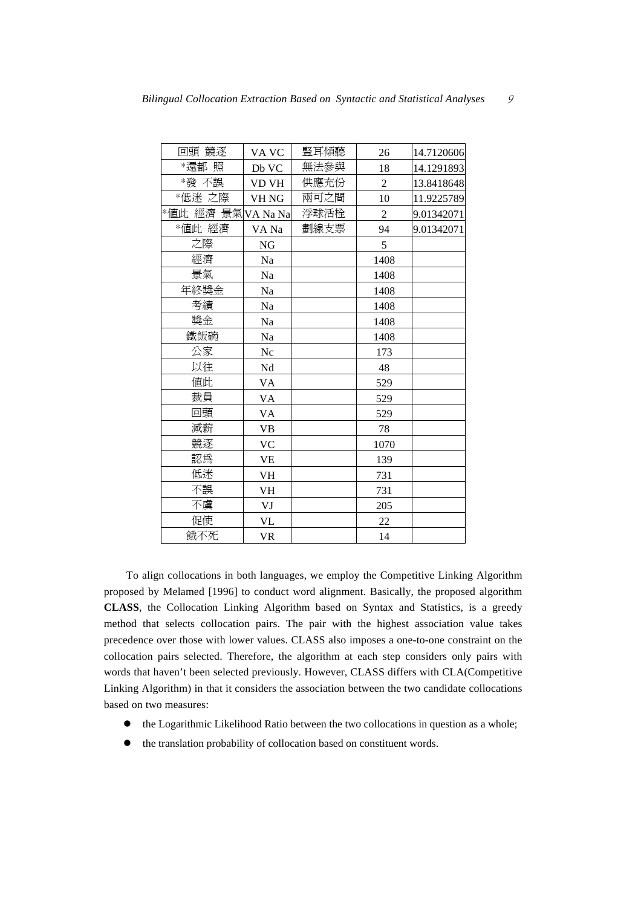| 回頭 競逐              | VA VC        | 豎耳傾聽 | 26             | 14.7120606 |
|--------------------|--------------|------|----------------|------------|
| *還都照               | Db VC        | 無法參與 | 18             | 14.1291893 |
| *發 不誤              | <b>VD VH</b> | 供應充份 | $\overline{2}$ | 13.8418648 |
| *低迷 之際             | VH NG        | 兩可之間 | 10             | 11.9225789 |
| *値此 經濟 景氣 VA Na Na |              | 浮球活栓 | $\overline{2}$ | 9.01342071 |
| *値此 經濟             | VA Na        | 劃線支票 | 94             | 9.01342071 |
| 之際                 | <b>NG</b>    |      | 5              |            |
| 經濟                 | Na           |      | 1408           |            |
| 景氣                 | Na           |      | 1408           |            |
| 年終獎金               | Na           |      | 1408           |            |
| 考績                 | Na           |      | 1408           |            |
| 獎金                 | Na           |      | 1408           |            |
| 鐵飯碗                | Na           |      | 1408           |            |
| 公家                 | Nc           |      | 173            |            |
| 以往                 | Nd           |      | 48             |            |
| 値此                 | <b>VA</b>    |      | 529            |            |
| 裁員                 | VA           |      | 529            |            |
| 回頭                 | VA           |      | 529            |            |
| 減薪                 | <b>VB</b>    |      | 78             |            |
| 競逐                 | VC           |      | 1070           |            |
| 認爲                 | <b>VE</b>    |      | 139            |            |
| 低迷                 | <b>VH</b>    |      | 731            |            |
| 不誤                 | VH           |      | 731            |            |
| 不虞                 | VJ           |      | 205            |            |
| 促使                 | VL           |      | 22             |            |
| 餓不死                | <b>VR</b>    |      | 14             |            |

To align collocations in both languages, we employ the Competitive Linking Algorithm proposed by Melamed [1996] to conduct word alignment. Basically, the proposed algorithm **CLASS**, the Collocation Linking Algorithm based on Syntax and Statistics, is a greedy method that selects collocation pairs. The pair with the highest association value takes precedence over those with lower values. CLASS also imposes a one-to-one constraint on the collocation pairs selected. Therefore, the algorithm at each step considers only pairs with words that haven't been selected previously. However, CLASS differs with CLA(Competitive Linking Algorithm) in that it considers the association between the two candidate collocations based on two measures:

- $\bullet$  the Logarithmic Likelihood Ratio between the two collocations in question as a whole;
- $\bullet$  the translation probability of collocation based on constituent words.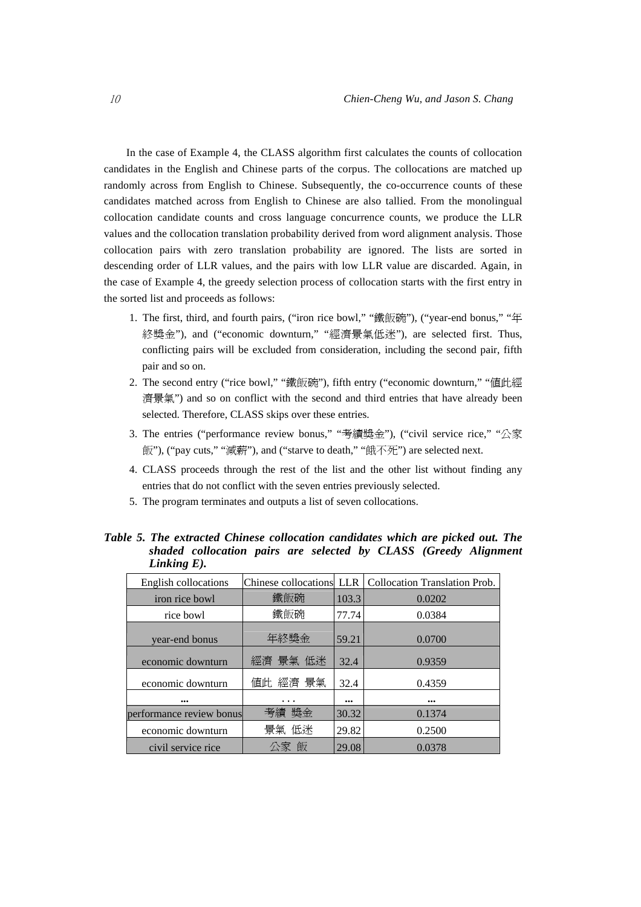In the case of Example 4, the CLASS algorithm first calculates the counts of collocation candidates in the English and Chinese parts of the corpus. The collocations are matched up randomly across from English to Chinese. Subsequently, the co-occurrence counts of these candidates matched across from English to Chinese are also tallied. From the monolingual collocation candidate counts and cross language concurrence counts, we produce the LLR values and the collocation translation probability derived from word alignment analysis. Those collocation pairs with zero translation probability are ignored. The lists are sorted in descending order of LLR values, and the pairs with low LLR value are discarded. Again, in the case of Example 4, the greedy selection process of collocation starts with the first entry in the sorted list and proceeds as follows:

- 1. The first, third, and fourth pairs, ("iron rice bowl," "鐵飯碗"), ("year-end bonus," "年 終獎金"), and ("economic downturn," "經濟景氣低迷"), are selected first. Thus, conflicting pairs will be excluded from consideration, including the second pair, fifth pair and so on.
- 2. The second entry ("rice bowl," "鐵飯碗"), fifth entry ("economic downturn," "值此經 濟景氣") and so on conflict with the second and third entries that have already been selected. Therefore, CLASS skips over these entries.
- 3. The entries ("performance review bonus," "考績獎金"), ("civil service rice," "公家 飯"), ("pay cuts," "減薪"), and ("starve to death," "餓不死") are selected next.
- 4. CLASS proceeds through the rest of the list and the other list without finding any entries that do not conflict with the seven entries previously selected.
- 5. The program terminates and outputs a list of seven collocations.

| English collocations     |          |       | Chinese collocations LLR   Collocation Translation Prob. |
|--------------------------|----------|-------|----------------------------------------------------------|
|                          |          |       |                                                          |
| iron rice bowl           | 鐵飯碗      | 103.3 | 0.0202                                                   |
| rice bowl                | 鐵飯碗      | 77.74 | 0.0384                                                   |
| year-end bonus           | 年終獎金     | 59.21 | 0.0700                                                   |
| economic downturn        | 經濟 景氣 低迷 | 32.4  | 0.9359                                                   |
| economic downturn        | 値此 經濟 景氣 | 32.4  | 0.4359                                                   |
|                          | $\cdots$ |       | $\bullet\bullet\bullet$                                  |
| performance review bonus | 考績 獎金    | 30.32 | 0.1374                                                   |
| economic downturn        | 景氣 低迷    | 29.82 | 0.2500                                                   |
| civil service rice       | 公家 飯     | 29.08 | 0.0378                                                   |

*Table 5. The extracted Chinese collocation candidates which are picked out. The shaded collocation pairs are selected by CLASS (Greedy Alignment Linking E).*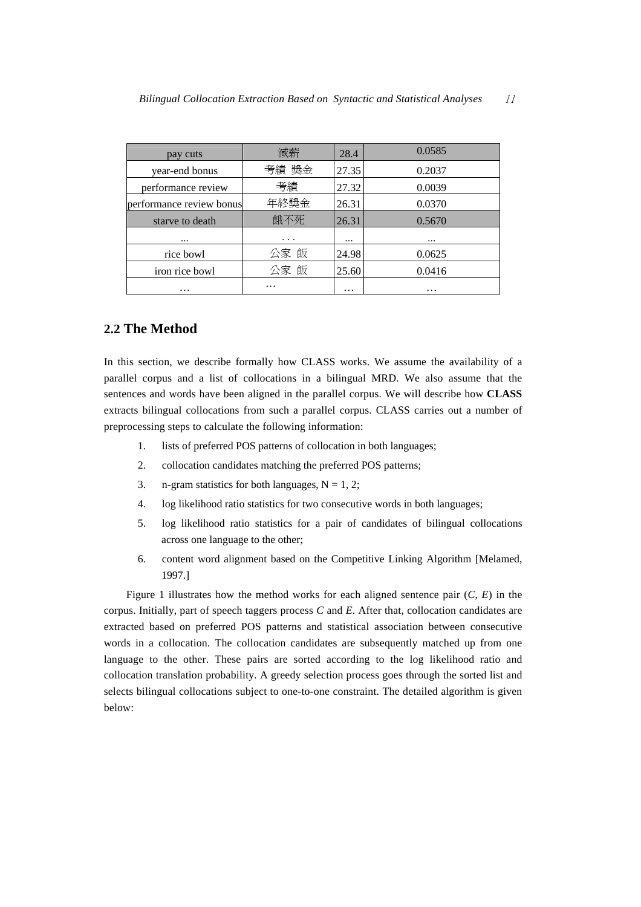| pay cuts                 | 減薪       | 28.4     | 0.0585 |
|--------------------------|----------|----------|--------|
| year-end bonus           | 考績 獎金    | 27.35    | 0.2037 |
| performance review       | 考績       | 27.32    | 0.0039 |
| performance review bonus | 年終獎金     | 26.31    | 0.0370 |
| starve to death          | 餓不死      | 26.31    | 0.5670 |
|                          | $\cdots$ |          |        |
| rice bowl                | 公家 飯     | 24.98    | 0.0625 |
| iron rice bowl           | 公家 飯     | 25.60    | 0.0416 |
| .                        | .        | $\cdots$ | .      |

## **2.2 The Method**

In this section, we describe formally how CLASS works. We assume the availability of a parallel corpus and a list of collocations in a bilingual MRD. We also assume that the sentences and words have been aligned in the parallel corpus. We will describe how **CLASS** extracts bilingual collocations from such a parallel corpus. CLASS carries out a number of preprocessing steps to calculate the following information:

- 1. lists of preferred POS patterns of collocation in both languages;
- 2. collocation candidates matching the preferred POS patterns;
- 3. n-gram statistics for both languages,  $N = 1, 2$ ;
- 4. log likelihood ratio statistics for two consecutive words in both languages;
- 5. log likelihood ratio statistics for a pair of candidates of bilingual collocations across one language to the other;
- 6. content word alignment based on the Competitive Linking Algorithm [Melamed, 1997.]

Figure 1 illustrates how the method works for each aligned sentence pair  $(C, E)$  in the corpus. Initially, part of speech taggers process *C* and *E*. After that, collocation candidates are extracted based on preferred POS patterns and statistical association between consecutive words in a collocation. The collocation candidates are subsequently matched up from one language to the other. These pairs are sorted according to the log likelihood ratio and collocation translation probability. A greedy selection process goes through the sorted list and selects bilingual collocations subject to one-to-one constraint. The detailed algorithm is given below: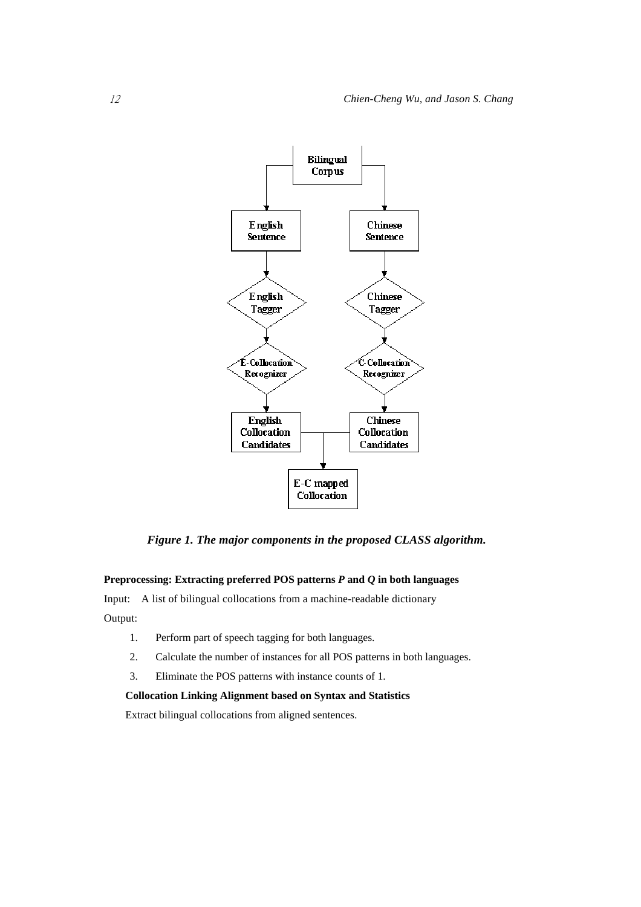

*Figure 1. The major components in the proposed CLASS algorithm.* 

## **Preprocessing: Extracting preferred POS patterns** *P* **and** *Q* **in both languages**

Input: A list of bilingual collocations from a machine-readable dictionary

Output:

- 1. Perform part of speech tagging for both languages.
- 2. Calculate the number of instances for all POS patterns in both languages.
- 3. Eliminate the POS patterns with instance counts of 1.

## **Collocation Linking Alignment based on Syntax and Statistics**

Extract bilingual collocations from aligned sentences.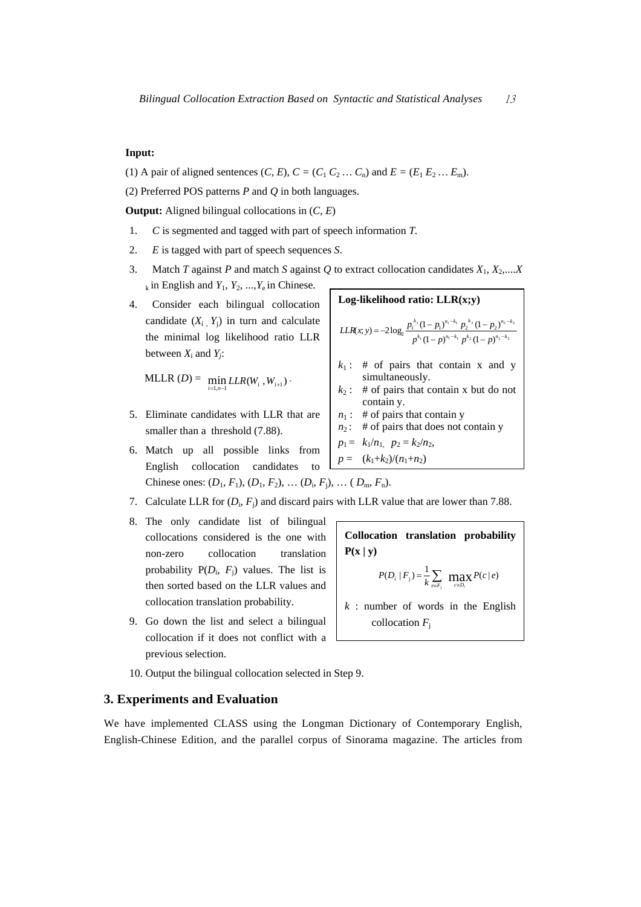## **Input:**

(1) A pair of aligned sentences  $(C, E)$ ,  $C = (C_1 C_2 ... C_n)$  and  $E = (E_1 E_2 ... E_m)$ .

(2) Preferred POS patterns *P* and *Q* in both languages.

**Output:** Aligned bilingual collocations in (*C*, *E*)

- 1. *C* is segmented and tagged with part of speech information *T.*
- 2. *E* is tagged with part of speech sequences *S*.
- 3. Match *T* against *P* and match *S* against *Q* to extract collocation candidates  $X_1, X_2,...X_n$  $_{k}$  in English and  $Y_1, Y_2, ..., Y_e$  in Chinese.
- 4. Consider each bilingual collocation candidate  $(X_i, Y_i)$  in turn and calculate the minimal log likelihood ratio LLR between  $X_i$  and  $Y_i$ :

 $MLLR (D) = \min_{i=1, n-1} LLR(W_i, W_{i+1})$ .

- 5. Eliminate candidates with LLR that are smaller than a threshold  $(7.88)$ .
- 6. Match up all possible links from English collocation candidates to Chinese ones:  $(D_1, F_1), (D_1, F_2), \ldots (D_i, F_i), \ldots (D_m, F_n)$ .

7. Calculate LLR for 
$$
(D_i, F_j)
$$
 and discard pairs with LLR value that are lower than 7.88.

- 8. The only candidate list of bilingual collocations considered is the one with non-zero collocation translation probability  $P(D_i, F_i)$  values. The list is then sorted based on the LLR values and collocation translation probability.
- 9. Go down the list and select a bilingual collocation if it does not conflict with a previous selection.



$$
p_1 = k_1/n_1, p_2 = k_2/n_2, p = (k_1+k_2)/(n_1+n_2)
$$

**Collocation translation probability**  $P(x | y)$  $P(D_i | F_j) = \frac{1}{k} \sum_{e \in F_j} \max_{c \in D_i} P(c | e)$  $=\frac{1}{k}\sum_{e\in F_i}$  **ma**<sub> $ceD_i$ </sub>  $k$  : number of words in the English collocation  $F_i$ 

10. Output the bilingual collocation selected in Step 9.

## **3. Experiments and Evaluation**

We have implemented CLASS using the Longman Dictionary of Contemporary English, English-Chinese Edition, and the parallel corpus of Sinorama magazine. The articles from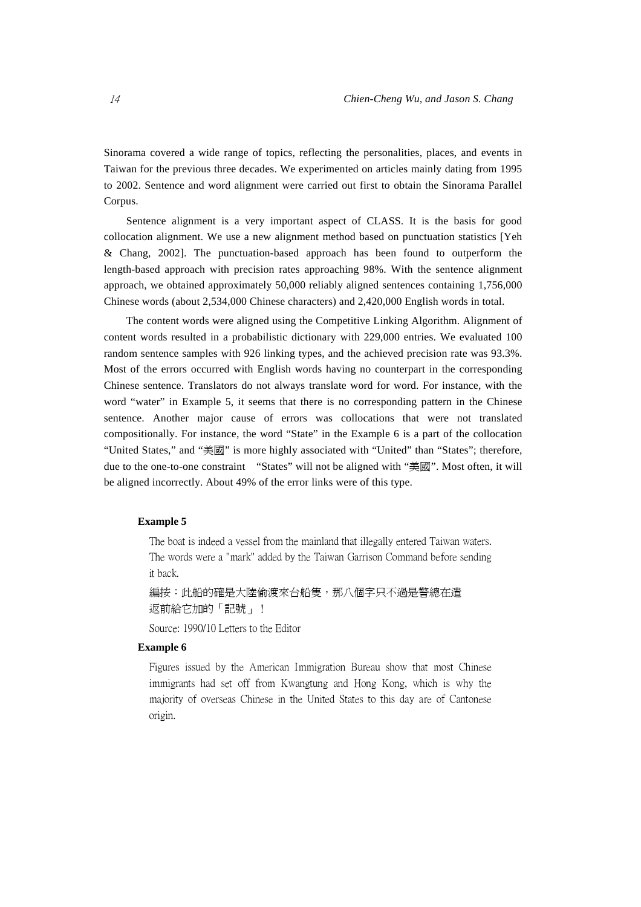Sinorama covered a wide range of topics, reflecting the personalities, places, and events in Taiwan for the previous three decades. We experimented on articles mainly dating from 1995 to 2002. Sentence and word alignment were carried out first to obtain the Sinorama Parallel Corpus.

Sentence alignment is a very important aspect of CLASS. It is the basis for good collocation alignment. We use a new alignment method based on punctuation statistics [Yeh & Chang, 2002]. The punctuation-based approach has been found to outperform the length-based approach with precision rates approaching 98%. With the sentence alignment approach, we obtained approximately 50,000 reliably aligned sentences containing 1,756,000 Chinese words (about 2,534,000 Chinese characters) and 2,420,000 English words in total.

The content words were aligned using the Competitive Linking Algorithm. Alignment of content words resulted in a probabilistic dictionary with 229,000 entries. We evaluated 100 random sentence samples with 926 linking types, and the achieved precision rate was 93.3%. Most of the errors occurred with English words having no counterpart in the corresponding Chinese sentence. Translators do not always translate word for word. For instance, with the word "water" in Example 5, it seems that there is no corresponding pattern in the Chinese sentence. Another major cause of errors was collocations that were not translated compositionally. For instance, the word "State" in the Example 6 is a part of the collocation "United States," and "美國" is more highly associated with "United" than "States"; therefore, due to the one-to-one constraint "States" will not be aligned with "美國". Most often, it will be aligned incorrectly. About 49% of the error links were of this type.

#### **Example 5**

The boat is indeed a vessel from the mainland that illegally entered Taiwan waters. The words were a "mark" added by the Taiwan Garrison Command before sending it back.

編按:此船的確是大陸偷渡來台船隻,那八個字只不過是警總在遣 返前給它加的「記號」!

Source: 1990/10 Letters to the Editor

## **Example 6**

Figures issued by the American Immigration Bureau show that most Chinese immigrants had set off from Kwangtung and Hong Kong, which is why the majority of overseas Chinese in the United States to this day are of Cantonese origin.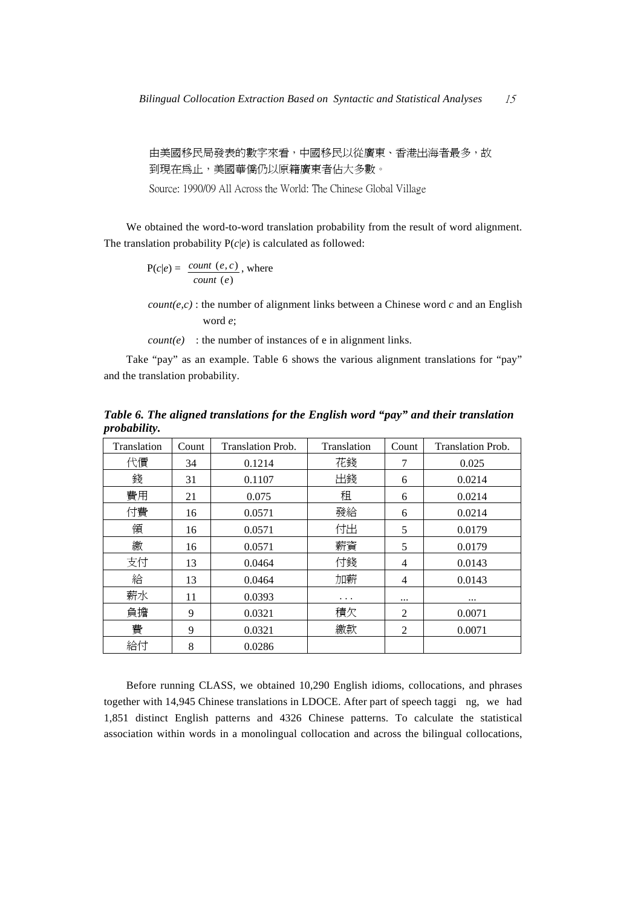由美國移民局發表的數字來看,中國移民以從廣東、香港出海者最多,故 到現在為止,美國華僑仍以原籍廣東者佔大多數。

Source: 1990/09 All Across the World: The Chinese Global Village

We obtained the word-to-word translation probability from the result of word alignment. The translation probability  $P(c|e)$  is calculated as followed:

$$
P(c|e) = \frac{count(e, c)}{count(e)}, where
$$

*count(e,c)* : the number of alignment links between a Chinese word  $c$  and an English word *e*;

 $count(e)$ : the number of instances of e in alignment links.

Take "pay" as an example. Table 6 shows the various alignment translations for "pay" and the translation probability.

*Table 6. The aligned translations for the English word "pay" and their translation probability.* 

| Translation | Count | <b>Translation Prob.</b> | Translation | Count          | <b>Translation Prob.</b> |
|-------------|-------|--------------------------|-------------|----------------|--------------------------|
| 代價          | 34    | 0.1214                   | 花錢          | 7              | 0.025                    |
| 錢           | 31    | 0.1107                   | 出錢          | 6              | 0.0214                   |
| 費用          | 21    | 0.075                    | 租           | 6              | 0.0214                   |
| 付費          | 16    | 0.0571                   | 發給          | 6              | 0.0214                   |
| 領           | 16    | 0.0571                   | 付出          | 5              | 0.0179                   |
| 繳           | 16    | 0.0571                   | 薪資          | 5              | 0.0179                   |
| 支付          | 13    | 0.0464                   | 付錢          | $\overline{4}$ | 0.0143                   |
| 給           | 13    | 0.0464                   | 加薪          | 4              | 0.0143                   |
| 薪水          | 11    | 0.0393                   | $\cdots$    | $\cdots$       | $\cdots$                 |
| 負擔          | 9     | 0.0321                   | 積欠          | 2              | 0.0071                   |
| 費           | 9     | 0.0321                   | 繳款          | $\overline{2}$ | 0.0071                   |
| 給付          | 8     | 0.0286                   |             |                |                          |

Before running CLASS, we obtained 10,290 English idioms, collocations, and phrases together with 14,945 Chinese translations in LDOCE. After part of speech taggi ng, we had 1,851 distinct English patterns and 4326 Chinese patterns. To calculate the statistical association within words in a monolingual collocation and across the bilingual collocations,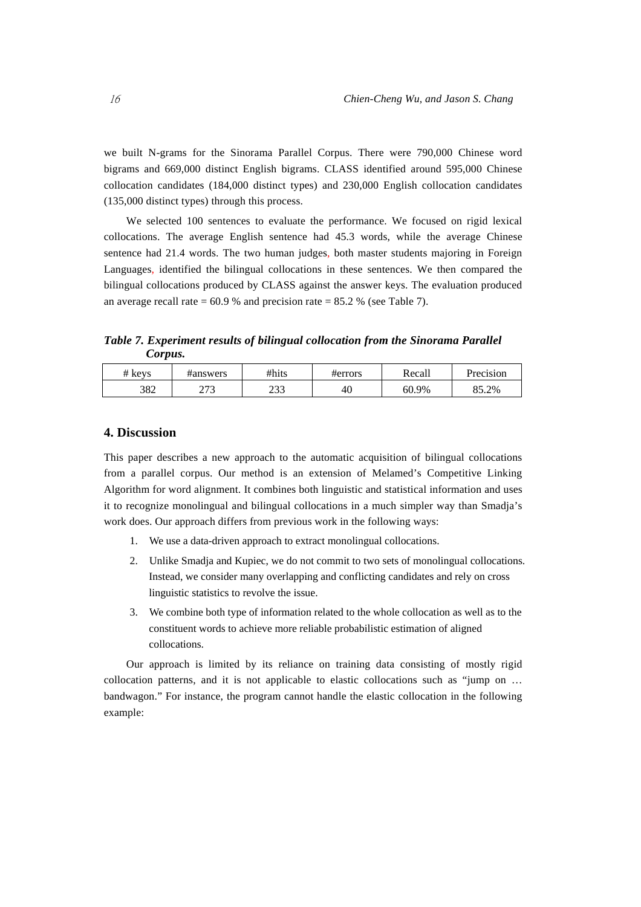we built N-grams for the Sinorama Parallel Corpus. There were 790,000 Chinese word bigrams and 669,000 distinct English bigrams. CLASS identified around 595,000 Chinese collocation candidates (184,000 distinct types) and 230,000 English collocation candidates (135,000 distinct types) through this process.

We selected 100 sentences to evaluate the performance. We focused on rigid lexical collocations. The average English sentence had 45.3 words, while the average Chinese sentence had 21.4 words. The two human judges, both master students majoring in Foreign Languages, identified the bilingual collocations in these sentences. We then compared the bilingual collocations produced by CLASS against the answer keys. The evaluation produced an average recall rate  $= 60.9$  % and precision rate  $= 85.2$  % (see Table 7).

*Table 7. Experiment results of bilingual collocation from the Sinorama Parallel Corpus.* 

| # keys | #answers    | #hits       | #errors | Recall | Precision |
|--------|-------------|-------------|---------|--------|-----------|
| 382    | ריה<br>ر رے | ר ר<br>ر ر_ | 40      | 60.9%  | 85.2%     |

## **4. Discussion**

This paper describes a new approach to the automatic acquisition of bilingual collocations from a parallel corpus. Our method is an extension of Melamed's Competitive Linking Algorithm for word alignment. It combines both linguistic and statistical information and uses it to recognize monolingual and bilingual collocations in a much simpler way than Smadja's work does. Our approach differs from previous work in the following ways:

- 1. We use a data-driven approach to extract monolingual collocations.
- 2. Unlike Smadja and Kupiec, we do not commit to two sets of monolingual collocations. Instead, we consider many overlapping and conflicting candidates and rely on cross linguistic statistics to revolve the issue.
- 3. We combine both type of information related to the whole collocation as well as to the constituent words to achieve more reliable probabilistic estimation of aligned collocations.

Our approach is limited by its reliance on training data consisting of mostly rigid collocation patterns, and it is not applicable to elastic collocations such as "jump on … bandwagon." For instance, the program cannot handle the elastic collocation in the following example: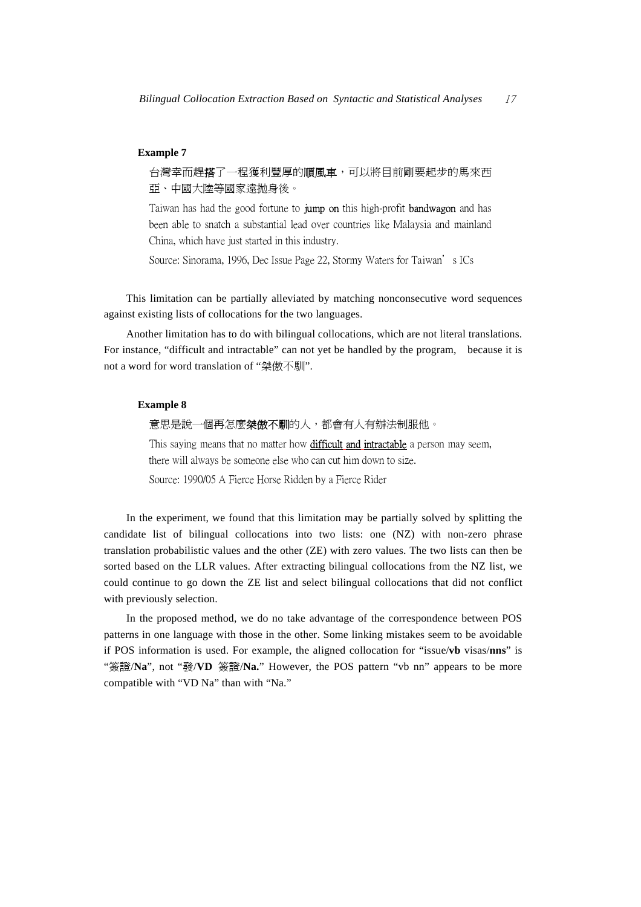### **Example 7**

台灣幸而趕搭了一程獲利豐厚的順風車,可以將目前剛要起步的馬來西 亞、中國大陸等國家遠拋身後。

Taiwan has had the good fortune to **jump on** this high-profit **bandwagon** and has been able to snatch a substantial lead over countries like Malaysia and mainland China, which have just started in this industry.

Source: Sinorama, 1996, Dec Issue Page 22, Stormy Waters for Taiwan's ICs

This limitation can be partially alleviated by matching nonconsecutive word sequences against existing lists of collocations for the two languages.

Another limitation has to do with bilingual collocations, which are not literal translations. For instance, "difficult and intractable" can not yet be handled by the program, because it is not a word for word translation of "桀傲不馴".

## **Example 8**

意思是說一個再怎麼**桀傲不馴**的人,都會有人有辦法制服他。

This saying means that no matter how **difficult and intractable** a person may seem, there will always be someone else who can cut him down to size.

Source: 1990/05 A Fierce Horse Ridden by a Fierce Rider

In the experiment, we found that this limitation may be partially solved by splitting the candidate list of bilingual collocations into two lists: one (NZ) with non-zero phrase translation probabilistic values and the other (ZE) with zero values. The two lists can then be sorted based on the LLR values. After extracting bilingual collocations from the NZ list, we could continue to go down the ZE list and select bilingual collocations that did not conflict with previously selection.

In the proposed method, we do no take advantage of the correspondence between POS patterns in one language with those in the other. Some linking mistakes seem to be avoidable if POS information is used. For example, the aligned collocation for "issue/**vb** visas/**nns**" is "簽證/**Na**", not "發/**VD** 簽證/**Na.**" However, the POS pattern "vb nn" appears to be more compatible with "VD Na" than with "Na."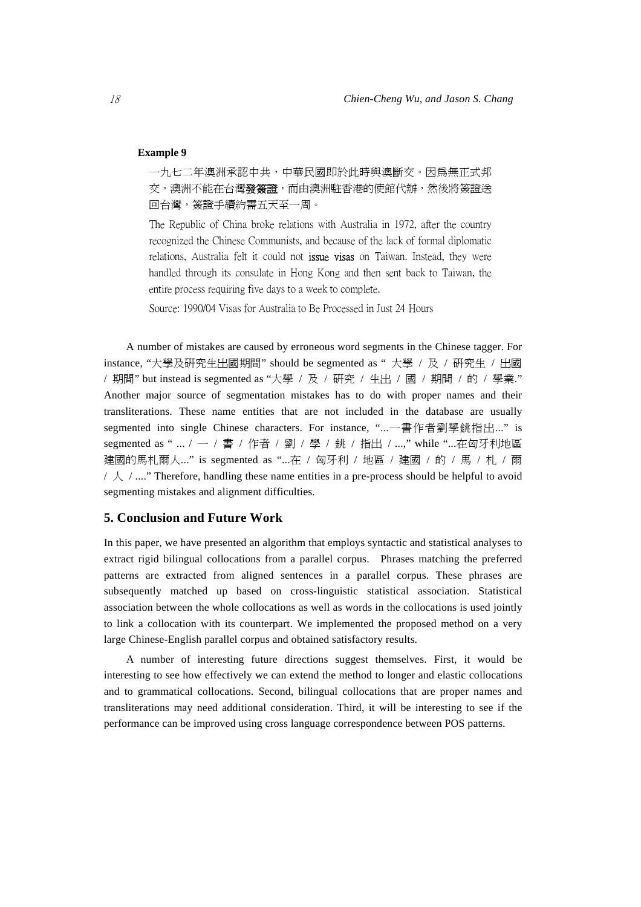## **Example 9**

一九七二年澳洲承認中共,中華民國即於此時與澳斷交。因為無正式邦 交,澳洲不能在台灣發簽證,而由澳洲駐香港的使館代辦,然後將簽證送 回台灣,簽證手續約需五天至一周。

The Republic of China broke relations with Australia in 1972, after the country recognized the Chinese Communists, and because of the lack of formal diplomatic relations, Australia felt it could not **issue visas** on Taiwan. Instead, they were handled through its consulate in Hong Kong and then sent back to Taiwan, the entire process requiring five days to a week to complete.

Source: 1990/04 Visas for Australia to Be Processed in Just 24 Hours

A number of mistakes are caused by erroneous word segments in the Chinese tagger. For instance, "大學及研究生出國期間" should be segmented as " 大學 / 及 / 研究生 / 出國 / 期間" but instead is segmented as "大學 / 及 / 研究 / 生出 / 國 / 期間 / 的 / 學業." Another major source of segmentation mistakes has to do with proper names and their transliterations. These name entities that are not included in the database are usually segmented into single Chinese characters. For instance, "...一書作者劉學銚指出..." is segmented as " ... / 一 / 書 / 作者 / 劉 / 學 / 銚 / 指出 / ...," while "...在匈牙利地區 建國的馬札爾人..." is segmented as "...在 / 匈牙利 / 地區 / 建國 / 的 / 馬 / 札 / 爾  $\neq \mathcal{L}$  / ...." Therefore, handling these name entities in a pre-process should be helpful to avoid segmenting mistakes and alignment difficulties.

## **5. Conclusion and Future Work**

In this paper, we have presented an algorithm that employs syntactic and statistical analyses to extract rigid bilingual collocations from a parallel corpus. Phrases matching the preferred patterns are extracted from aligned sentences in a parallel corpus. These phrases are subsequently matched up based on cross-linguistic statistical association. Statistical association between the whole collocations as well as words in the collocations is used jointly to link a collocation with its counterpart. We implemented the proposed method on a very large Chinese-English parallel corpus and obtained satisfactory results.

A number of interesting future directions suggest themselves. First, it would be interesting to see how effectively we can extend the method to longer and elastic collocations and to grammatical collocations. Second, bilingual collocations that are proper names and transliterations may need additional consideration. Third, it will be interesting to see if the performance can be improved using cross language correspondence between POS patterns.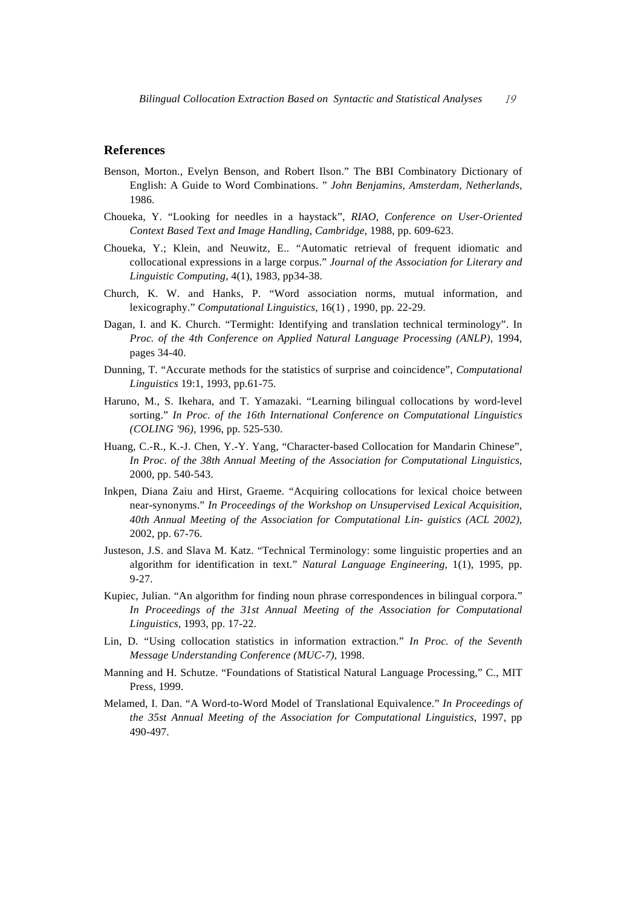## **References**

- Benson, Morton., Evelyn Benson, and Robert Ilson." The BBI Combinatory Dictionary of English: A Guide to Word Combinations. " *John Benjamins, Amsterdam, Netherlands,* 1986.
- Choueka, Y. "Looking for needles in a haystack", *RIAO, Conference on User-Oriented Context Based Text and Image Handling, Cambridge*, 1988, pp. 609-623.
- Choueka, Y.; Klein, and Neuwitz, E.. "Automatic retrieval of frequent idiomatic and collocational expressions in a large corpus." *Journal of the Association for Literary and Linguistic Computing*, 4(1), 1983, pp34-38.
- Church, K. W. and Hanks, P. "Word association norms, mutual information, and lexicography." *Computational Linguistics*, 16(1) , 1990, pp. 22-29.
- Dagan, I. and K. Church. "Termight: Identifying and translation technical terminology". In *Proc. of the 4th Conference on Applied Natural Language Processing (ANLP)*, 1994, pages 34-40.
- Dunning, T. "Accurate methods for the statistics of surprise and coincidence", *Computational Linguistics* 19:1, 1993, pp.61-75.
- Haruno, M., S. Ikehara, and T. Yamazaki. "Learning bilingual collocations by word-level sorting." *In Proc. of the 16th International Conference on Computational Linguistics (COLING '96)*, 1996, pp. 525-530.
- Huang, C.-R., K.-J. Chen, Y.-Y. Yang, "Character-based Collocation for Mandarin Chinese", *In Proc. of the 38th Annual Meeting of the Association for Computational Linguistics*, 2000, pp. 540-543.
- Inkpen, Diana Zaiu and Hirst, Graeme. "Acquiring collocations for lexical choice between near-synonyms." *In Proceedings of the Workshop on Unsupervised Lexical Acquisition, 40th Annual Meeting of the Association for Computational Lin- guistics (ACL 2002)*, 2002, pp. 67-76.
- Justeson, J.S. and Slava M. Katz. "Technical Terminology: some linguistic properties and an algorithm for identification in text." *Natural Language Engineering*, 1(1), 1995, pp. 9-27.
- Kupiec, Julian. "An algorithm for finding noun phrase correspondences in bilingual corpora." *In Proceedings of the 31st Annual Meeting of the Association for Computational Linguistics*, 1993, pp. 17-22.
- Lin, D. "Using collocation statistics in information extraction." *In Proc. of the Seventh Message Understanding Conference (MUC-7)*, 1998.
- Manning and H. Schutze. "Foundations of Statistical Natural Language Processing," C., MIT Press, 1999.
- Melamed, I. Dan. "A Word-to-Word Model of Translational Equivalence." *In Proceedings of the 35st Annual Meeting of the Association for Computational Linguistics*, 1997, pp 490-497.